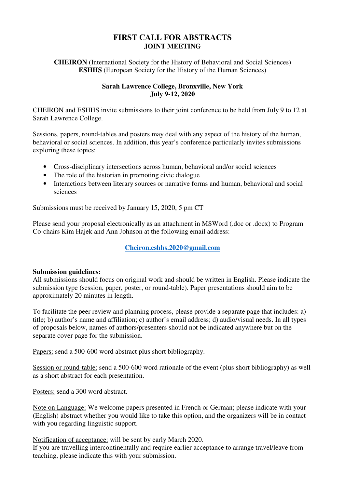# **FIRST CALL FOR ABSTRACTS JOINT MEETING**

**CHEIRON** (International Society for the History of Behavioral and Social Sciences) **ESHHS** (European Society for the History of the Human Sciences)

# **Sarah Lawrence College, Bronxville, New York July 9-12, 2020**

CHEIRON and ESHHS invite submissions to their joint conference to be held from July 9 to 12 at Sarah Lawrence College.

Sessions, papers, round-tables and posters may deal with any aspect of the history of the human, behavioral or social sciences. In addition, this year's conference particularly invites submissions exploring these topics:

- Cross-disciplinary intersections across human, behavioral and/or social sciences
- The role of the historian in promoting civic dialogue
- Interactions between literary sources or narrative forms and human, behavioral and social sciences

Submissions must be received by January 15, 2020, 5 pm CT

Please send your proposal electronically as an attachment in MSWord (.doc or .docx) to Program Co-chairs Kim Hajek and Ann Johnson at the following email address:

**Cheiron.eshhs.2020@gmail.com**

## **Submission guidelines:**

All submissions should focus on original work and should be written in English. Please indicate the submission type (session, paper, poster, or round-table). Paper presentations should aim to be approximately 20 minutes in length.

To facilitate the peer review and planning process, please provide a separate page that includes: a) title; b) author's name and affiliation; c) author's email address; d) audio/visual needs. In all types of proposals below, names of authors/presenters should not be indicated anywhere but on the separate cover page for the submission.

Papers: send a 500-600 word abstract plus short bibliography.

Session or round-table: send a 500-600 word rationale of the event (plus short bibliography) as well as a short abstract for each presentation.

Posters: send a 300 word abstract.

Note on Language: We welcome papers presented in French or German; please indicate with your (English) abstract whether you would like to take this option, and the organizers will be in contact with you regarding linguistic support.

Notification of acceptance: will be sent by early March 2020.

If you are travelling intercontinentally and require earlier acceptance to arrange travel/leave from teaching, please indicate this with your submission.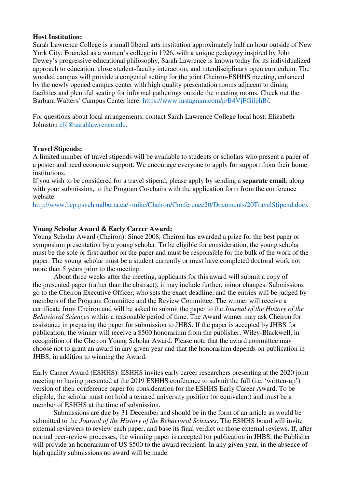#### **Host Institution:**

Sarah Lawrence College is a small liberal arts institution approximately half an hour outside of New York City. Founded as a women's college in 1926, with a unique pedagogy inspired by John Dewey's progressive educational philosophy, Sarah Lawrence is known today for its individualized approach to education, close student-faculty interaction, and interdisciplinary open curriculum. The wooded campus will provide a congenial setting for the joint Cheiron-ESHHS meeting, enhanced by the newly opened campus center with high quality presentation rooms adjacent to dining facilities and plentiful seating for informal gatherings outside the meeting rooms. Check out the Barbara Walters' Campus Center here: https://www.instagram.com/p/B4VjFGilphB/.

For questions about local arrangements, contact Sarah Lawrence College local host: Elizabeth Johnston ebj@sarahlawrence.edu.

#### **Travel Stipends:**

A limited number of travel stipends will be available to students or scholars who present a paper of a poster and need economic support. We encourage everyone to apply for support from their home institutions.

If you wish to be considered for a travel stipend, please apply by sending a **separate email***,* along with your submission, to the Program Co-chairs with the application form from the conference website:

http://www.bcp.psych.ualberta.ca/~mike/Cheiron/Conference20/Documents/20TravelStipend.docx

## **Young Scholar Award & Early Career Award:**

Young Scholar Award (Cheiron): Since 2008, Cheiron has awarded a prize for the best paper or symposium presentation by a young scholar. To be eligible for consideration, the young scholar must be the sole or first author on the paper and must be responsible for the bulk of the work of the paper. The young scholar must be a student currently or must have completed doctoral work not more than 5 years prior to the meeting.

About three weeks after the meeting, applicants for this award will submit a copy of the presented paper (rather than the abstract); it may include further, minor changes. Submissions go to the Cheiron Executive Officer, who sets the exact deadline, and the entries will be judged by members of the Program Committee and the Review Committee. The winner will receive a certificate from Cheiron and will be asked to submit the paper to the *Journal of the History of the Behavioral Sciences* within a reasonable period of time. The Award winner may ask Cheiron for assistance in preparing the paper for submission to JHBS. If the paper is accepted by JHBS for publication, the winner will receive a \$500 honorarium from the publisher, Wiley-Blackwell, in recognition of the Cheiron Young Scholar Award. Please note that the award committee may choose not to grant an award in any given year and that the honorarium depends on publication in JHBS, in addition to winning the Award.

Early Career Award (ESHHS): ESHHS invites early career researchers presenting at the 2020 joint meeting or having presented at the 2019 ESHHS conference to submit the full (i.e. 'written-up') version of their conference paper for consideration for the ESHHS Early Career Award. To be eligible, the scholar must not hold a tenured university position (or equivalent) and must be a member of ESHHS at the time of submission.

 Submissions are due by 31 December and should be in the form of an article as would be submitted to the *Journal of the History of the Behavioral Sciences*. The ESHHS board will invite external reviewers to review each paper, and base its final verdict on those external reviews. If, after normal peer-review processes, the winning paper is accepted for publication in JHBS, the Publisher will provide an honorarium of US \$500 to the award recipient. In any given year, in the absence of high quality submissions no award will be made.